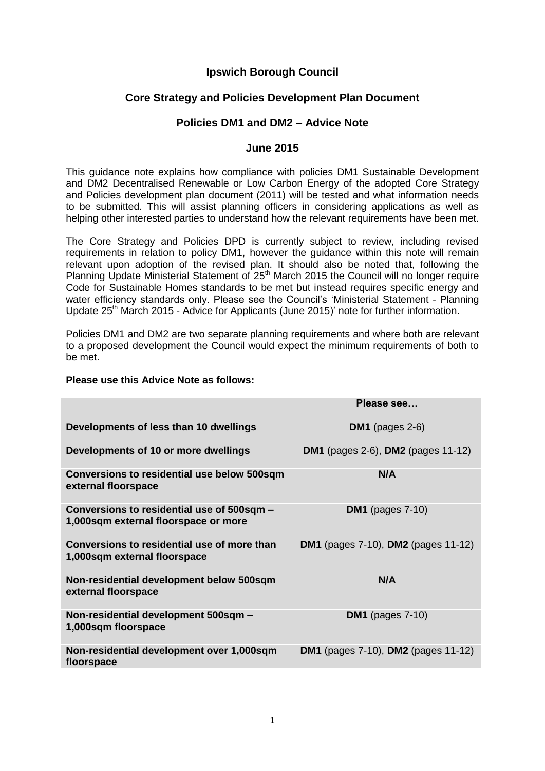# **Ipswich Borough Council**

## **Core Strategy and Policies Development Plan Document**

## **Policies DM1 and DM2 – Advice Note**

### **June 2015**

This guidance note explains how compliance with policies DM1 Sustainable Development and DM2 Decentralised Renewable or Low Carbon Energy of the adopted Core Strategy and Policies development plan document (2011) will be tested and what information needs to be submitted. This will assist planning officers in considering applications as well as helping other interested parties to understand how the relevant requirements have been met.

The Core Strategy and Policies DPD is currently subject to review, including revised requirements in relation to policy DM1, however the guidance within this note will remain relevant upon adoption of the revised plan. It should also be noted that, following the Planning Update Ministerial Statement of 25<sup>th</sup> March 2015 the Council will no longer require Code for Sustainable Homes standards to be met but instead requires specific energy and water efficiency standards only. Please see the Council's 'Ministerial Statement - Planning Update 25<sup>th</sup> March 2015 - Advice for Applicants (June 2015)' note for further information.

Policies DM1 and DM2 are two separate planning requirements and where both are relevant to a proposed development the Council would expect the minimum requirements of both to be met.

|                                                                                    | Please see                                        |
|------------------------------------------------------------------------------------|---------------------------------------------------|
| Developments of less than 10 dwellings                                             | DM1 (pages $2-6$ )                                |
| Developments of 10 or more dwellings                                               | <b>DM1</b> (pages 2-6), <b>DM2</b> (pages 11-12)  |
| <b>Conversions to residential use below 500sqm</b><br>external floorspace          | N/A                                               |
| Conversions to residential use of 500sqm -<br>1,000sqm external floorspace or more | DM1 (pages $7-10$ )                               |
| Conversions to residential use of more than<br>1,000sqm external floorspace        | <b>DM1</b> (pages 7-10), <b>DM2</b> (pages 11-12) |
| Non-residential development below 500sqm<br>external floorspace                    | N/A                                               |
| Non-residential development 500sqm -<br>1,000sqm floorspace                        | <b>DM1</b> (pages 7-10)                           |
| Non-residential development over 1,000sqm<br>floorspace                            | <b>DM1</b> (pages 7-10), <b>DM2</b> (pages 11-12) |

#### **Please use this Advice Note as follows:**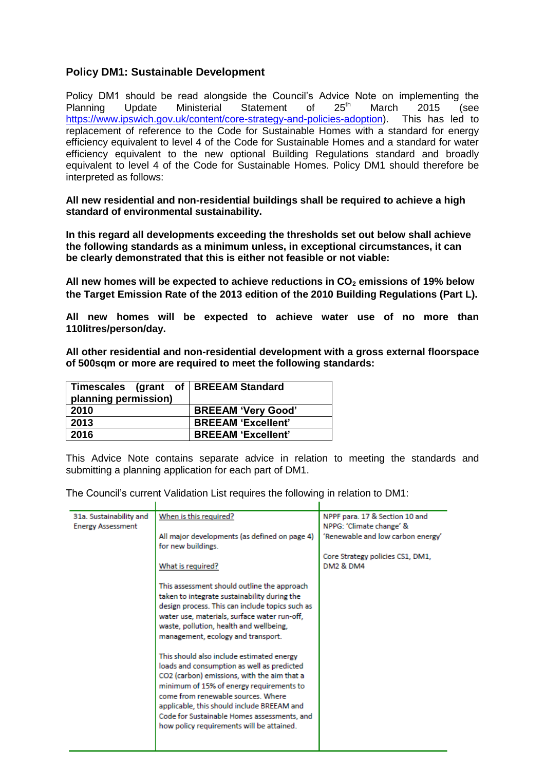## **Policy DM1: Sustainable Development**

Policy DM1 should be read alongside the Council's Advice Note on implementing the<br>Planning Undate Ministerial Statement of  $25<sup>th</sup>$  March 2015 (see Planning Update Ministerial Statement of 25<sup>th</sup> March 2015 (see [https://www.ipswich.gov.uk/content/core-strategy-and-policies-adoption\)](https://www.ipswich.gov.uk/content/core-strategy-and-policies-adoption). This has led to replacement of reference to the Code for Sustainable Homes with a standard for energy efficiency equivalent to level 4 of the Code for Sustainable Homes and a standard for water efficiency equivalent to the new optional Building Regulations standard and broadly equivalent to level 4 of the Code for Sustainable Homes. Policy DM1 should therefore be interpreted as follows:

**All new residential and non-residential buildings shall be required to achieve a high standard of environmental sustainability.**

**In this regard all developments exceeding the thresholds set out below shall achieve the following standards as a minimum unless, in exceptional circumstances, it can be clearly demonstrated that this is either not feasible or not viable:**

**All new homes will be expected to achieve reductions in CO<sup>2</sup> emissions of 19% below the Target Emission Rate of the 2013 edition of the 2010 Building Regulations (Part L).**

**All new homes will be expected to achieve water use of no more than 110litres/person/day.**

**All other residential and non-residential development with a gross external floorspace of 500sqm or more are required to meet the following standards:**

| Timescales (grant of   BREEAM Standard<br>planning permission) |                           |
|----------------------------------------------------------------|---------------------------|
| 2010                                                           | <b>BREEAM 'Very Good'</b> |
| 2013                                                           | <b>BREEAM 'Excellent'</b> |
| 2016                                                           | <b>BREEAM 'Excellent'</b> |

This Advice Note contains separate advice in relation to meeting the standards and submitting a planning application for each part of DM1.

The Council's current Validation List requires the following in relation to DM1:

| 31a. Sustainability and<br><b>Energy Assessment</b> | When is this required?                                                                          | NPPF para. 17 & Section 10 and<br>NPPG: 'Climate change' & |
|-----------------------------------------------------|-------------------------------------------------------------------------------------------------|------------------------------------------------------------|
|                                                     | All major developments (as defined on page 4)<br>for new buildings.                             | 'Renewable and low carbon energy'                          |
|                                                     | What is required?                                                                               | Core Strategy policies CS1, DM1,<br><b>DM2 &amp; DM4</b>   |
|                                                     |                                                                                                 |                                                            |
|                                                     | This assessment should outline the approach<br>taken to integrate sustainability during the     |                                                            |
|                                                     | design process. This can include topics such as<br>water use, materials, surface water run-off, |                                                            |
|                                                     | waste, pollution, health and wellbeing,<br>management, ecology and transport.                   |                                                            |
|                                                     | This should also include estimated energy                                                       |                                                            |
|                                                     | loads and consumption as well as predicted<br>CO2 (carbon) emissions, with the aim that a       |                                                            |
|                                                     | minimum of 15% of energy requirements to<br>come from renewable sources. Where                  |                                                            |
|                                                     | applicable, this should include BREEAM and<br>Code for Sustainable Homes assessments, and       |                                                            |
|                                                     | how policy requirements will be attained.                                                       |                                                            |
|                                                     |                                                                                                 |                                                            |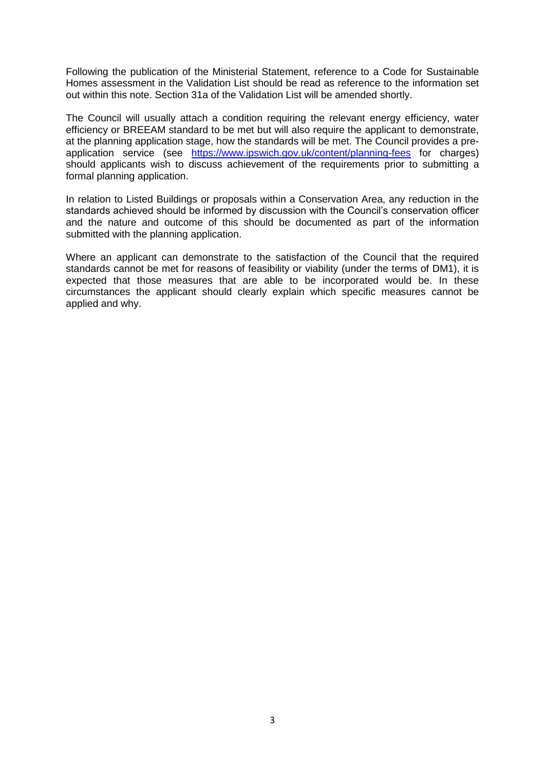Following the publication of the Ministerial Statement, reference to a Code for Sustainable Homes assessment in the Validation List should be read as reference to the information set out within this note. Section 31a of the Validation List will be amended shortly.

The Council will usually attach a condition requiring the relevant energy efficiency, water efficiency or BREEAM standard to be met but will also require the applicant to demonstrate, at the planning application stage, how the standards will be met. The Council provides a preapplication service (see <https://www.ipswich.gov.uk/content/planning-fees> for charges) should applicants wish to discuss achievement of the requirements prior to submitting a formal planning application.

In relation to Listed Buildings or proposals within a Conservation Area, any reduction in the standards achieved should be informed by discussion with the Council's conservation officer and the nature and outcome of this should be documented as part of the information submitted with the planning application.

Where an applicant can demonstrate to the satisfaction of the Council that the required standards cannot be met for reasons of feasibility or viability (under the terms of DM1), it is expected that those measures that are able to be incorporated would be. In these circumstances the applicant should clearly explain which specific measures cannot be applied and why.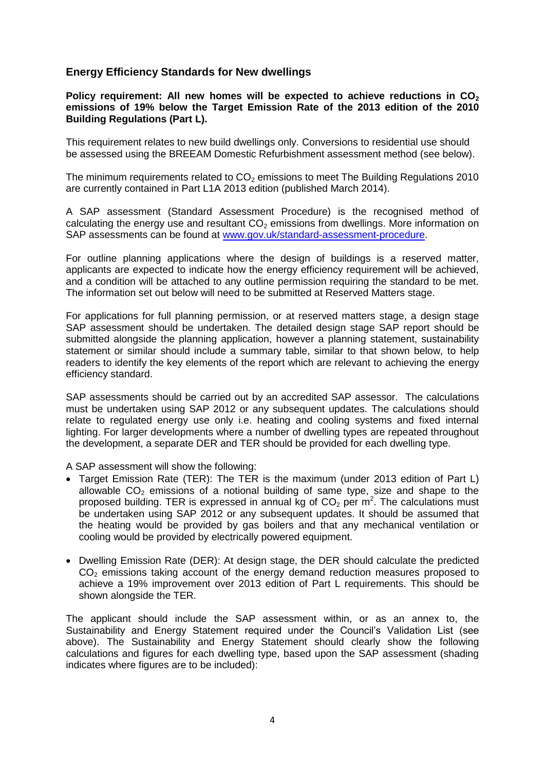## **Energy Efficiency Standards for New dwellings**

Policy requirement: All new homes will be expected to achieve reductions in CO<sub>2</sub> **emissions of 19% below the Target Emission Rate of the 2013 edition of the 2010 Building Regulations (Part L).**

This requirement relates to new build dwellings only. Conversions to residential use should be assessed using the BREEAM Domestic Refurbishment assessment method (see below).

The minimum requirements related to  $CO<sub>2</sub>$  emissions to meet The Building Regulations 2010 are currently contained in Part L1A 2013 edition (published March 2014).

A SAP assessment (Standard Assessment Procedure) is the recognised method of calculating the energy use and resultant  $CO<sub>2</sub>$  emissions from dwellings. More information on SAP assessments can be found at [www.gov.uk/standard-assessment-procedure.](http://www.gov.uk/standard-assessment-procedure)

For outline planning applications where the design of buildings is a reserved matter, applicants are expected to indicate how the energy efficiency requirement will be achieved, and a condition will be attached to any outline permission requiring the standard to be met. The information set out below will need to be submitted at Reserved Matters stage.

For applications for full planning permission, or at reserved matters stage, a design stage SAP assessment should be undertaken. The detailed design stage SAP report should be submitted alongside the planning application, however a planning statement, sustainability statement or similar should include a summary table, similar to that shown below, to help readers to identify the key elements of the report which are relevant to achieving the energy efficiency standard.

SAP assessments should be carried out by an accredited SAP assessor. The calculations must be undertaken using SAP 2012 or any subsequent updates. The calculations should relate to regulated energy use only i.e. heating and cooling systems and fixed internal lighting. For larger developments where a number of dwelling types are repeated throughout the development, a separate DER and TER should be provided for each dwelling type.

A SAP assessment will show the following:

- Target Emission Rate (TER): The TER is the maximum (under 2013 edition of Part L) allowable  $CO<sub>2</sub>$  emissions of a notional building of same type, size and shape to the proposed building. TER is expressed in annual kg of  $CO<sub>2</sub>$  per m<sup>2</sup>. The calculations must be undertaken using SAP 2012 or any subsequent updates. It should be assumed that the heating would be provided by gas boilers and that any mechanical ventilation or cooling would be provided by electrically powered equipment.
- Dwelling Emission Rate (DER): At design stage, the DER should calculate the predicted  $CO<sub>2</sub>$  emissions taking account of the energy demand reduction measures proposed to achieve a 19% improvement over 2013 edition of Part L requirements. This should be shown alongside the TER.

The applicant should include the SAP assessment within, or as an annex to, the Sustainability and Energy Statement required under the Council's Validation List (see above). The Sustainability and Energy Statement should clearly show the following calculations and figures for each dwelling type, based upon the SAP assessment (shading indicates where figures are to be included):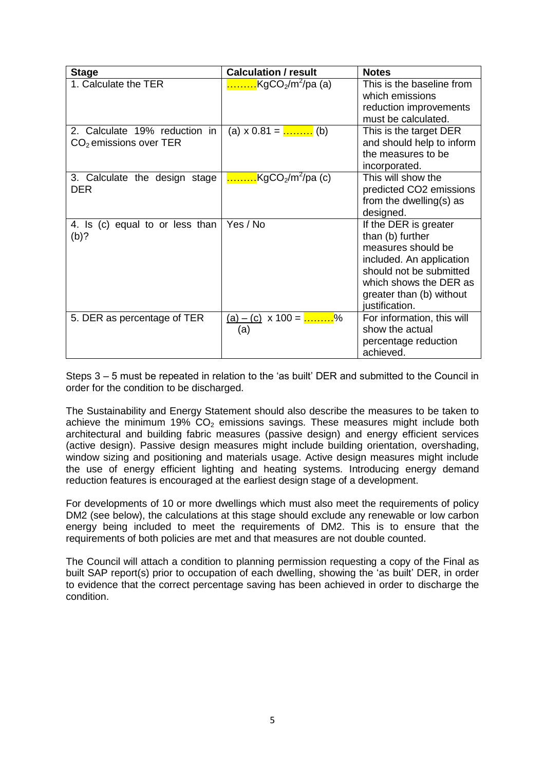| <b>Stage</b>                    | <b>Calculation / result</b>                             | <b>Notes</b>               |
|---------------------------------|---------------------------------------------------------|----------------------------|
| 1. Calculate the TER            | KgCO <sub>2</sub> /m <sup>2</sup> /pa (a)               | This is the baseline from  |
|                                 |                                                         | which emissions            |
|                                 |                                                         | reduction improvements     |
|                                 |                                                         | must be calculated.        |
| 2. Calculate 19% reduction in   | (a) $x 0.81 =$ (b)                                      | This is the target DER     |
| $CO2$ emissions over TER        |                                                         | and should help to inform  |
|                                 |                                                         | the measures to be         |
|                                 |                                                         | incorporated.              |
| 3. Calculate the design stage   | $\frac{1}{2}$ KgCO <sub>2</sub> /m <sup>2</sup> /pa (c) | This will show the         |
| DER                             |                                                         | predicted CO2 emissions    |
|                                 |                                                         | from the dwelling(s) as    |
|                                 |                                                         | designed.                  |
| 4. Is (c) equal to or less than | Yes / No                                                | If the DER is greater      |
| (b)?                            |                                                         | than (b) further           |
|                                 |                                                         | measures should be         |
|                                 |                                                         | included. An application   |
|                                 |                                                         | should not be submitted    |
|                                 |                                                         | which shows the DER as     |
|                                 |                                                         | greater than (b) without   |
|                                 |                                                         | justification.             |
| 5. DER as percentage of TER     | $(a) - (c) \times 100 =$ %                              | For information, this will |
|                                 | (a)                                                     | show the actual            |
|                                 |                                                         | percentage reduction       |
|                                 |                                                         | achieved.                  |

Steps 3 – 5 must be repeated in relation to the 'as built' DER and submitted to the Council in order for the condition to be discharged.

The Sustainability and Energy Statement should also describe the measures to be taken to achieve the minimum 19%  $CO<sub>2</sub>$  emissions savings. These measures might include both architectural and building fabric measures (passive design) and energy efficient services (active design). Passive design measures might include building orientation, overshading, window sizing and positioning and materials usage. Active design measures might include the use of energy efficient lighting and heating systems. Introducing energy demand reduction features is encouraged at the earliest design stage of a development.

For developments of 10 or more dwellings which must also meet the requirements of policy DM2 (see below), the calculations at this stage should exclude any renewable or low carbon energy being included to meet the requirements of DM2. This is to ensure that the requirements of both policies are met and that measures are not double counted.

The Council will attach a condition to planning permission requesting a copy of the Final as built SAP report(s) prior to occupation of each dwelling, showing the 'as built' DER, in order to evidence that the correct percentage saving has been achieved in order to discharge the condition.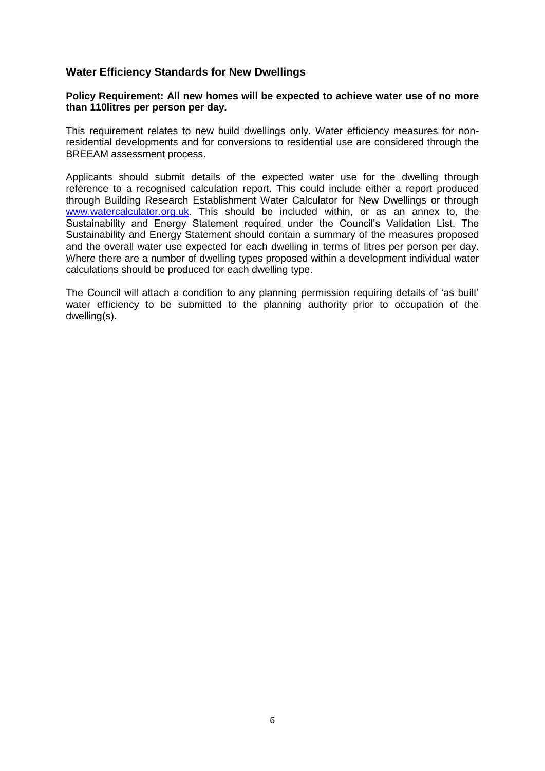## **Water Efficiency Standards for New Dwellings**

#### **Policy Requirement: All new homes will be expected to achieve water use of no more than 110litres per person per day.**

This requirement relates to new build dwellings only. Water efficiency measures for nonresidential developments and for conversions to residential use are considered through the BREEAM assessment process.

Applicants should submit details of the expected water use for the dwelling through reference to a recognised calculation report. This could include either a report produced through Building Research Establishment Water Calculator for New Dwellings or through [www.watercalculator.org.uk.](http://www.watercalculator.org.uk/) This should be included within, or as an annex to, the Sustainability and Energy Statement required under the Council's Validation List. The Sustainability and Energy Statement should contain a summary of the measures proposed and the overall water use expected for each dwelling in terms of litres per person per day. Where there are a number of dwelling types proposed within a development individual water calculations should be produced for each dwelling type.

The Council will attach a condition to any planning permission requiring details of 'as built' water efficiency to be submitted to the planning authority prior to occupation of the dwelling(s).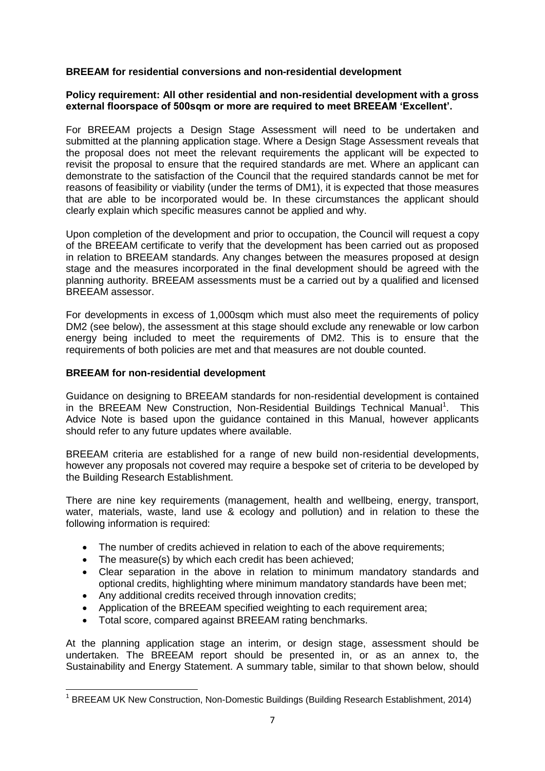### **BREEAM for residential conversions and non-residential development**

#### **Policy requirement: All other residential and non-residential development with a gross external floorspace of 500sqm or more are required to meet BREEAM 'Excellent'.**

For BREEAM projects a Design Stage Assessment will need to be undertaken and submitted at the planning application stage. Where a Design Stage Assessment reveals that the proposal does not meet the relevant requirements the applicant will be expected to revisit the proposal to ensure that the required standards are met. Where an applicant can demonstrate to the satisfaction of the Council that the required standards cannot be met for reasons of feasibility or viability (under the terms of DM1), it is expected that those measures that are able to be incorporated would be. In these circumstances the applicant should clearly explain which specific measures cannot be applied and why.

Upon completion of the development and prior to occupation, the Council will request a copy of the BREEAM certificate to verify that the development has been carried out as proposed in relation to BREEAM standards. Any changes between the measures proposed at design stage and the measures incorporated in the final development should be agreed with the planning authority. BREEAM assessments must be a carried out by a qualified and licensed BREEAM assessor.

For developments in excess of 1,000sqm which must also meet the requirements of policy DM2 (see below), the assessment at this stage should exclude any renewable or low carbon energy being included to meet the requirements of DM2. This is to ensure that the requirements of both policies are met and that measures are not double counted.

### **BREEAM for non-residential development**

**.** 

Guidance on designing to BREEAM standards for non-residential development is contained in the BREEAM New Construction, Non-Residential Buildings Technical Manual<sup>1</sup>. This Advice Note is based upon the guidance contained in this Manual, however applicants should refer to any future updates where available.

BREEAM criteria are established for a range of new build non-residential developments, however any proposals not covered may require a bespoke set of criteria to be developed by the Building Research Establishment.

There are nine key requirements (management, health and wellbeing, energy, transport, water, materials, waste, land use & ecology and pollution) and in relation to these the following information is required:

- The number of credits achieved in relation to each of the above requirements;
- The measure(s) by which each credit has been achieved:
- Clear separation in the above in relation to minimum mandatory standards and optional credits, highlighting where minimum mandatory standards have been met;
- Any additional credits received through innovation credits;
- Application of the BREEAM specified weighting to each requirement area;
- Total score, compared against BREEAM rating benchmarks.

At the planning application stage an interim, or design stage, assessment should be undertaken. The BREEAM report should be presented in, or as an annex to, the Sustainability and Energy Statement. A summary table, similar to that shown below, should

<sup>&</sup>lt;sup>1</sup> BREEAM UK New Construction, Non-Domestic Buildings (Building Research Establishment, 2014)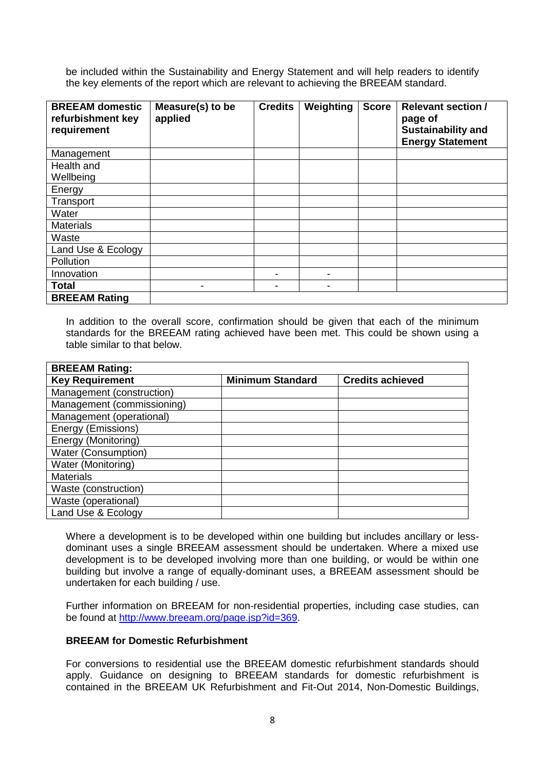be included within the Sustainability and Energy Statement and will help readers to identify the key elements of the report which are relevant to achieving the BREEAM standard.

| <b>BREEAM</b> domestic<br>refurbishment key<br>requirement | Measure(s) to be<br>applied | <b>Credits</b> | Weighting | <b>Score</b> | <b>Relevant section /</b><br>page of<br><b>Sustainability and</b><br><b>Energy Statement</b> |
|------------------------------------------------------------|-----------------------------|----------------|-----------|--------------|----------------------------------------------------------------------------------------------|
| Management                                                 |                             |                |           |              |                                                                                              |
| Health and                                                 |                             |                |           |              |                                                                                              |
| Wellbeing                                                  |                             |                |           |              |                                                                                              |
| Energy                                                     |                             |                |           |              |                                                                                              |
| Transport                                                  |                             |                |           |              |                                                                                              |
| Water                                                      |                             |                |           |              |                                                                                              |
| <b>Materials</b>                                           |                             |                |           |              |                                                                                              |
| Waste                                                      |                             |                |           |              |                                                                                              |
| Land Use & Ecology                                         |                             |                |           |              |                                                                                              |
| Pollution                                                  |                             |                |           |              |                                                                                              |
| Innovation                                                 |                             |                |           |              |                                                                                              |
| <b>Total</b>                                               | -                           |                |           |              |                                                                                              |
| <b>BREEAM Rating</b>                                       |                             |                |           |              |                                                                                              |

In addition to the overall score, confirmation should be given that each of the minimum standards for the BREEAM rating achieved have been met. This could be shown using a table similar to that below.

| <b>BREEAM Rating:</b>      |                         |                         |
|----------------------------|-------------------------|-------------------------|
| <b>Key Requirement</b>     | <b>Minimum Standard</b> | <b>Credits achieved</b> |
| Management (construction)  |                         |                         |
| Management (commissioning) |                         |                         |
| Management (operational)   |                         |                         |
| Energy (Emissions)         |                         |                         |
| Energy (Monitoring)        |                         |                         |
| <b>Water (Consumption)</b> |                         |                         |
| Water (Monitoring)         |                         |                         |
| <b>Materials</b>           |                         |                         |
| Waste (construction)       |                         |                         |
| Waste (operational)        |                         |                         |
| Land Use & Ecology         |                         |                         |

Where a development is to be developed within one building but includes ancillary or lessdominant uses a single BREEAM assessment should be undertaken. Where a mixed use development is to be developed involving more than one building, or would be within one building but involve a range of equally-dominant uses, a BREEAM assessment should be undertaken for each building / use.

Further information on BREEAM for non-residential properties, including case studies, can be found at [http://www.breeam.org/page.jsp?id=369.](http://www.breeam.org/page.jsp?id=369)

### **BREEAM for Domestic Refurbishment**

For conversions to residential use the BREEAM domestic refurbishment standards should apply. Guidance on designing to BREEAM standards for domestic refurbishment is contained in the BREEAM UK Refurbishment and Fit-Out 2014, Non-Domestic Buildings,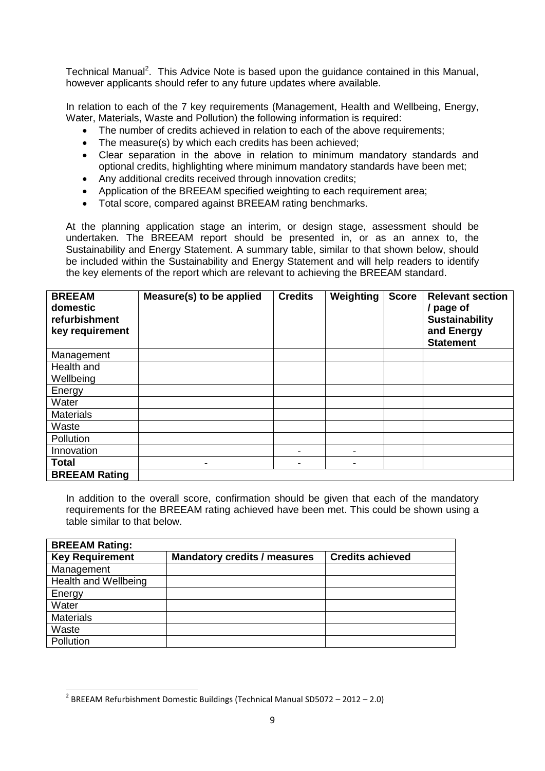Technical Manual<sup>2</sup>. This Advice Note is based upon the guidance contained in this Manual, however applicants should refer to any future updates where available.

In relation to each of the 7 key requirements (Management, Health and Wellbeing, Energy, Water, Materials, Waste and Pollution) the following information is required:

- The number of credits achieved in relation to each of the above requirements;
- The measure(s) by which each credits has been achieved;
- Clear separation in the above in relation to minimum mandatory standards and optional credits, highlighting where minimum mandatory standards have been met;
- Any additional credits received through innovation credits;
- Application of the BREEAM specified weighting to each requirement area;
- Total score, compared against BREEAM rating benchmarks.

At the planning application stage an interim, or design stage, assessment should be undertaken. The BREEAM report should be presented in, or as an annex to, the Sustainability and Energy Statement. A summary table, similar to that shown below, should be included within the Sustainability and Energy Statement and will help readers to identify the key elements of the report which are relevant to achieving the BREEAM standard.

| <b>BREEAM</b><br>domestic<br>refurbishment<br>key requirement | Measure(s) to be applied | <b>Credits</b>           | Weighting | <b>Score</b> | <b>Relevant section</b><br>/ page of<br><b>Sustainability</b><br>and Energy<br><b>Statement</b> |
|---------------------------------------------------------------|--------------------------|--------------------------|-----------|--------------|-------------------------------------------------------------------------------------------------|
| Management                                                    |                          |                          |           |              |                                                                                                 |
| Health and                                                    |                          |                          |           |              |                                                                                                 |
| Wellbeing                                                     |                          |                          |           |              |                                                                                                 |
| Energy                                                        |                          |                          |           |              |                                                                                                 |
| Water                                                         |                          |                          |           |              |                                                                                                 |
| <b>Materials</b>                                              |                          |                          |           |              |                                                                                                 |
| Waste                                                         |                          |                          |           |              |                                                                                                 |
| Pollution                                                     |                          |                          |           |              |                                                                                                 |
| Innovation                                                    |                          | $\overline{\phantom{a}}$ |           |              |                                                                                                 |
| <b>Total</b>                                                  | -                        | ۰                        |           |              |                                                                                                 |
| <b>BREEAM Rating</b>                                          |                          |                          |           |              |                                                                                                 |

In addition to the overall score, confirmation should be given that each of the mandatory requirements for the BREEAM rating achieved have been met. This could be shown using a table similar to that below.

| <b>BREEAM Rating:</b>  |                                     |                         |
|------------------------|-------------------------------------|-------------------------|
| <b>Key Requirement</b> | <b>Mandatory credits / measures</b> | <b>Credits achieved</b> |
| Management             |                                     |                         |
| Health and Wellbeing   |                                     |                         |
| Energy                 |                                     |                         |
| Water                  |                                     |                         |
| <b>Materials</b>       |                                     |                         |
| Waste                  |                                     |                         |
| Pollution              |                                     |                         |

**<sup>.</sup>**  $2$  BREEAM Refurbishment Domestic Buildings (Technical Manual SD5072 – 2012 – 2.0)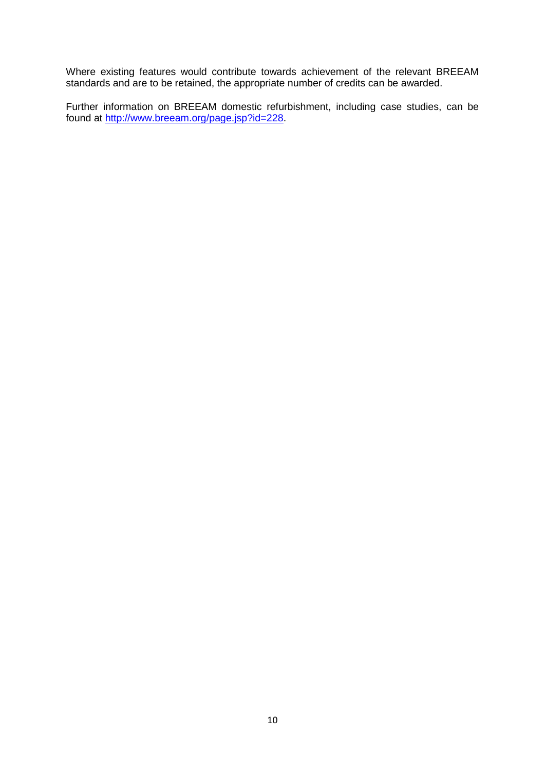Where existing features would contribute towards achievement of the relevant BREEAM standards and are to be retained, the appropriate number of credits can be awarded.

Further information on BREEAM domestic refurbishment, including case studies, can be found at [http://www.breeam.org/page.jsp?id=228.](http://www.breeam.org/page.jsp?id=228)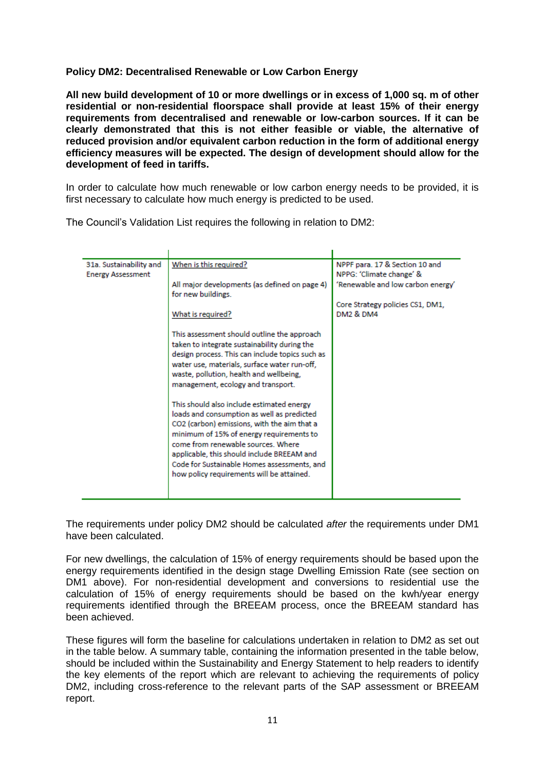## **Policy DM2: Decentralised Renewable or Low Carbon Energy**

**All new build development of 10 or more dwellings or in excess of 1,000 sq. m of other residential or non-residential floorspace shall provide at least 15% of their energy requirements from decentralised and renewable or low-carbon sources. If it can be clearly demonstrated that this is not either feasible or viable, the alternative of reduced provision and/or equivalent carbon reduction in the form of additional energy efficiency measures will be expected. The design of development should allow for the development of feed in tariffs.**

In order to calculate how much renewable or low carbon energy needs to be provided, it is first necessary to calculate how much energy is predicted to be used.

The Council's Validation List requires the following in relation to DM2:

| When is this required?<br>NPPF para. 17 & Section 10 and<br>31a. Sustainability and<br>NPPG: 'Climate change' &<br><b>Energy Assessment</b><br>'Renewable and low carbon energy'<br>All major developments (as defined on page 4)<br>for new buildings.<br>Core Strategy policies CS1, DM1,<br><b>DM2 &amp; DM4</b><br>What is required?<br>This assessment should outline the approach<br>taken to integrate sustainability during the<br>design process. This can include topics such as<br>water use, materials, surface water run-off,<br>waste, pollution, health and wellbeing,<br>management, ecology and transport.<br>This should also include estimated energy<br>loads and consumption as well as predicted<br>CO2 (carbon) emissions, with the aim that a<br>minimum of 15% of energy requirements to<br>come from renewable sources. Where<br>applicable, this should include BREEAM and |
|-------------------------------------------------------------------------------------------------------------------------------------------------------------------------------------------------------------------------------------------------------------------------------------------------------------------------------------------------------------------------------------------------------------------------------------------------------------------------------------------------------------------------------------------------------------------------------------------------------------------------------------------------------------------------------------------------------------------------------------------------------------------------------------------------------------------------------------------------------------------------------------------------------|
| Code for Sustainable Homes assessments, and<br>how policy requirements will be attained.                                                                                                                                                                                                                                                                                                                                                                                                                                                                                                                                                                                                                                                                                                                                                                                                              |

The requirements under policy DM2 should be calculated *after* the requirements under DM1 have been calculated.

For new dwellings, the calculation of 15% of energy requirements should be based upon the energy requirements identified in the design stage Dwelling Emission Rate (see section on DM1 above). For non-residential development and conversions to residential use the calculation of 15% of energy requirements should be based on the kwh/year energy requirements identified through the BREEAM process, once the BREEAM standard has been achieved.

These figures will form the baseline for calculations undertaken in relation to DM2 as set out in the table below. A summary table, containing the information presented in the table below, should be included within the Sustainability and Energy Statement to help readers to identify the key elements of the report which are relevant to achieving the requirements of policy DM2, including cross-reference to the relevant parts of the SAP assessment or BREEAM report.